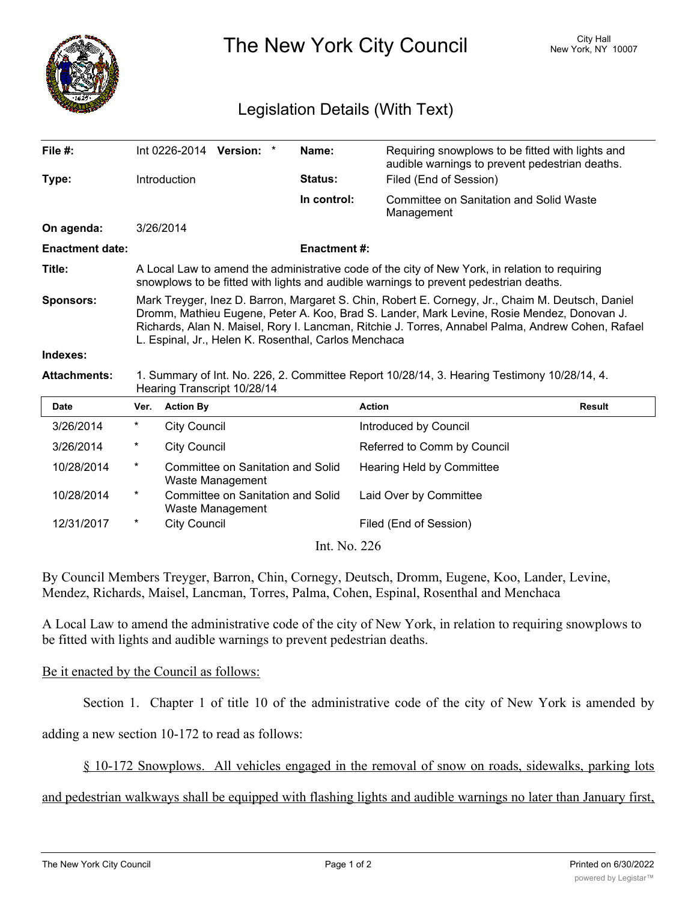

The New York City Council New York, NY 10007

## Legislation Details (With Text)

| File #:                |                                                                                                                                                                                                                                                                                                                                                             |                     | Int 0226-2014 Version: *                              |  | Name:       | Requiring snowplows to be fitted with lights and<br>audible warnings to prevent pedestrian deaths. |               |
|------------------------|-------------------------------------------------------------------------------------------------------------------------------------------------------------------------------------------------------------------------------------------------------------------------------------------------------------------------------------------------------------|---------------------|-------------------------------------------------------|--|-------------|----------------------------------------------------------------------------------------------------|---------------|
| Type:                  |                                                                                                                                                                                                                                                                                                                                                             | Introduction        |                                                       |  | Status:     | Filed (End of Session)                                                                             |               |
|                        |                                                                                                                                                                                                                                                                                                                                                             |                     |                                                       |  | In control: | <b>Committee on Sanitation and Solid Waste</b><br>Management                                       |               |
| On agenda:             |                                                                                                                                                                                                                                                                                                                                                             | 3/26/2014           |                                                       |  |             |                                                                                                    |               |
| <b>Enactment date:</b> | <b>Enactment#:</b>                                                                                                                                                                                                                                                                                                                                          |                     |                                                       |  |             |                                                                                                    |               |
| Title:                 | A Local Law to amend the administrative code of the city of New York, in relation to requiring<br>snowplows to be fitted with lights and audible warnings to prevent pedestrian deaths.                                                                                                                                                                     |                     |                                                       |  |             |                                                                                                    |               |
| <b>Sponsors:</b>       | Mark Treyger, Inez D. Barron, Margaret S. Chin, Robert E. Cornegy, Jr., Chaim M. Deutsch, Daniel<br>Dromm, Mathieu Eugene, Peter A. Koo, Brad S. Lander, Mark Levine, Rosie Mendez, Donovan J.<br>Richards, Alan N. Maisel, Rory I. Lancman, Ritchie J. Torres, Annabel Palma, Andrew Cohen, Rafael<br>L. Espinal, Jr., Helen K. Rosenthal, Carlos Menchaca |                     |                                                       |  |             |                                                                                                    |               |
|                        |                                                                                                                                                                                                                                                                                                                                                             |                     |                                                       |  |             |                                                                                                    |               |
| Indexes:               |                                                                                                                                                                                                                                                                                                                                                             |                     |                                                       |  |             |                                                                                                    |               |
| <b>Attachments:</b>    |                                                                                                                                                                                                                                                                                                                                                             |                     | Hearing Transcript 10/28/14                           |  |             | 1. Summary of Int. No. 226, 2. Committee Report 10/28/14, 3. Hearing Testimony 10/28/14, 4.        |               |
| <b>Date</b>            | Ver.                                                                                                                                                                                                                                                                                                                                                        | <b>Action By</b>    |                                                       |  |             | <b>Action</b>                                                                                      | <b>Result</b> |
| 3/26/2014              | $^\ast$                                                                                                                                                                                                                                                                                                                                                     | <b>City Council</b> |                                                       |  |             | Introduced by Council                                                                              |               |
| 3/26/2014              | $^\ast$                                                                                                                                                                                                                                                                                                                                                     | <b>City Council</b> |                                                       |  |             | Referred to Comm by Council                                                                        |               |
| 10/28/2014             | $\star$                                                                                                                                                                                                                                                                                                                                                     |                     | Committee on Sanitation and Solid<br>Waste Management |  |             | Hearing Held by Committee                                                                          |               |
| 10/28/2014             | $^\star$                                                                                                                                                                                                                                                                                                                                                    |                     | Committee on Sanitation and Solid<br>Waste Management |  |             | Laid Over by Committee                                                                             |               |
| 12/31/2017             | $^\star$                                                                                                                                                                                                                                                                                                                                                    | <b>City Council</b> |                                                       |  |             | Filed (End of Session)                                                                             |               |

By Council Members Treyger, Barron, Chin, Cornegy, Deutsch, Dromm, Eugene, Koo, Lander, Levine, Mendez, Richards, Maisel, Lancman, Torres, Palma, Cohen, Espinal, Rosenthal and Menchaca

A Local Law to amend the administrative code of the city of New York, in relation to requiring snowplows to be fitted with lights and audible warnings to prevent pedestrian deaths.

## Be it enacted by the Council as follows:

Section 1. Chapter 1 of title 10 of the administrative code of the city of New York is amended by

adding a new section 10-172 to read as follows:

§ 10-172 Snowplows. All vehicles engaged in the removal of snow on roads, sidewalks, parking lots

and pedestrian walkways shall be equipped with flashing lights and audible warnings no later than January first,